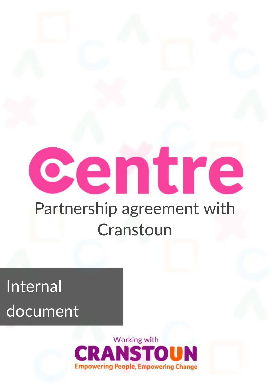# centre Partnership agreement with Cranstoun

## **Internal** document



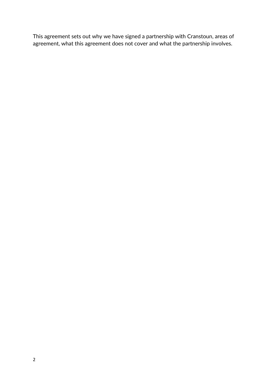This agreement sets out why we have signed a partnership with Cranstoun, areas of agreement, what this agreement does not cover and what the partnership involves.